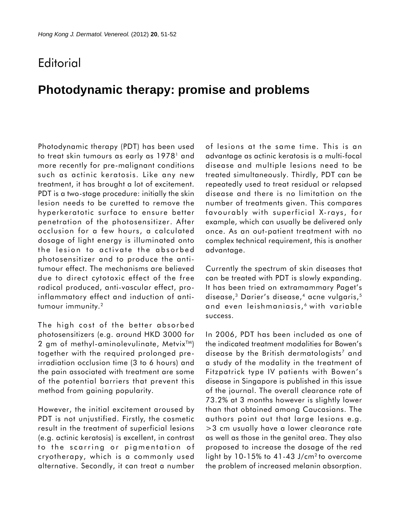## **Editorial**

## **Photodynamic therapy: promise and problems**

Photodynamic therapy (PDT) has been used to treat skin tumours as early as 1978<sup>1</sup> and more recently for pre-malignant conditions such as actinic keratosis. Like any new treatment, it has brought a lot of excitement. PDT is a two-stage procedure: initially the skin lesion needs to be curetted to remove the hyperkeratotic surface to ensure better penetration of the photosensitizer. After occlusion for a few hours, a calculated dosage of light energy is illuminated onto the lesion to activate the absorbed photosensitizer and to produce the antitumour effect. The mechanisms are believed due to direct cytotoxic effect of the free radical produced, anti-vascular effect, proinflammatory effect and induction of antitumour immunity.<sup>2</sup>

The high cost of the better absorbed photosensitizers (e.g. around HKD 3000 for 2 gm of methyl-aminolevulinate, Metvix<sup> $TM$ </sup>) together with the required prolonged preirradiation occlusion time (3 to 6 hours) and the pain associated with treatment are some of the potential barriers that prevent this method from gaining popularity.

However, the initial excitement aroused by PDT is not unjustified. Firstly, the cosmetic result in the treatment of superficial lesions (e.g. actinic keratosis) is excellent, in contrast to the scarring or pigmentation of cryotherapy, which is a commonly used alternative. Secondly, it can treat a number

of lesions at the same time. This is an advantage as actinic keratosis is a multi-focal disease and multiple lesions need to be treated simultaneously. Thirdly, PDT can be repeatedly used to treat residual or relapsed disease and there is no limitation on the number of treatments given. This compares favourably with superficial X-rays, for example, which can usually be delivered only once. As an out-patient treatment with no complex technical requirement, this is another advantage.

Currently the spectrum of skin diseases that can be treated with PDT is slowly expanding. It has been tried on extramammary Paget's disease,<sup>3</sup> Darier's disease,<sup>4</sup> acne vulgaris,<sup>5</sup> and even leishmaniasis, 6 with variable success.

In 2006, PDT has been included as one of the indicated treatment modalities for Bowen's disease by the British dermatologists<sup>7</sup> and a study of the modality in the treatment of Fitzpatrick type IV patients with Bowen's disease in Singapore is published in this issue of the journal. The overall clearance rate of 73.2% at 3 months however is slightly lower than that obtained among Caucasians. The authors point out that large lesions e.g. >3 cm usually have a lower clearance rate as well as those in the genital area. They also proposed to increase the dosage of the red light by 10-15% to 41-43 J/cm2 to overcome the problem of increased melanin absorption.